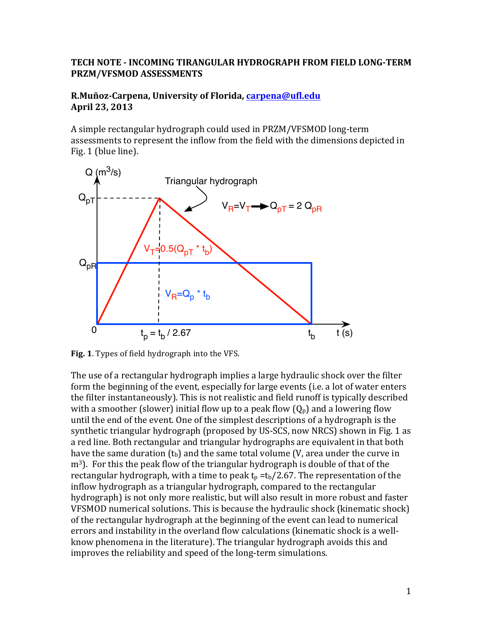## **TECH NOTE - INCOMING TIRANGULAR HYDROGRAPH FROM FIELD LONG-TERM PRZM/VFSMOD ASSESSMENTS**

## **R.Muñoz-Carpena, University of Florida, carpena@ufl.edu April 23, 2013**

A simple rectangular hydrograph could used in PRZM/VFSMOD long-term assessments to represent the inflow from the field with the dimensions depicted in Fig. 1 (blue line).



**Fig. 1.** Types of field hydrograph into the VFS.

The use of a rectangular hydrograph implies a large hydraulic shock over the filter form the beginning of the event, especially for large events (i.e. a lot of water enters the filter instantaneously). This is not realistic and field runoff is typically described with a smoother (slower) initial flow up to a peak flow  $(Q_p)$  and a lowering flow until the end of the event. One of the simplest descriptions of a hydrograph is the synthetic triangular hydrograph (proposed by US-SCS, now NRCS) shown in Fig. 1 as a red line. Both rectangular and triangular hydrographs are equivalent in that both have the same duration  $(t<sub>b</sub>)$  and the same total volume (V, area under the curve in  $m<sup>3</sup>$ ). For this the peak flow of the triangular hydrograph is double of that of the rectangular hydrograph, with a time to peak  $t_p = t_b/2.67$ . The representation of the inflow hydrograph as a triangular hydrograph, compared to the rectangular hydrograph) is not only more realistic, but will also result in more robust and faster VFSMOD numerical solutions. This is because the hydraulic shock (kinematic shock) of the rectangular hydrograph at the beginning of the event can lead to numerical errors and instability in the overland flow calculations (kinematic shock is a wellknow phenomena in the literature). The triangular hydrograph avoids this and improves the reliability and speed of the long-term simulations.